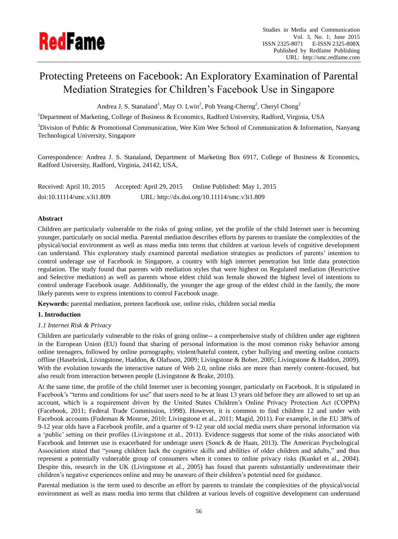

# Protecting Preteens on Facebook: An Exploratory Examination of Parental Mediation Strategies for Children's Facebook Use in Singapore

Andrea J. S. Stanaland<sup>1</sup>, May O. Lwin<sup>2</sup>, Poh Yeang-Cherng<sup>2</sup>, Cheryl Chong<sup>2</sup>

<sup>1</sup>Department of Marketing, College of Business & Economics, Radford University, Radford, Virginia, USA

<sup>2</sup>Division of Public & Promotional Communication, Wee Kim Wee School of Communication & Information, Nanyang Technological University, Singapore

Correspondence: Andrea J. S. Stanaland, Department of Marketing Box 6917, College of Business & Economics, Radford University, Radford, Virginia, 24142, USA,

Received: April 10, 2015 Accepted: April 29, 2015 Online Published: May 1, 2015 doi:10.11114/smc.v3i1.809 URL: http://dx.doi.org/10.11114/smc.v3i1.809

## **Abstract**

Children are particularly vulnerable to the risks of going online, yet the profile of the child Internet user is becoming younger, particularly on social media. Parental mediation describes efforts by parents to translate the complexities of the physical/social environment as well as mass media into terms that children at various levels of cognitive development can understand. This exploratory study examined parental mediation strategies as predictors of parents' intention to control underage use of Facebook in Singapore, a country with high internet penetration but little data protection regulation. The study found that parents with mediation styles that were highest on Regulated mediation (Restrictive and Selective mediation) as well as parents whose eldest child was female showed the highest level of intentions to control underage Facebook usage. Additionally, the younger the age group of the eldest child in the family, the more likely parents were to express intentions to control Facebook usage.

**Keywords:** parental mediation, preteen facebook use, online risks, children social media

## **1. Introduction**

## *1.1 Internet Risk & Privacy*

Children are particularly vulnerable to the risks of going online-- a comprehensive study of children under age eighteen in the European Union (EU) found that sharing of personal information is the most common risky behavior among online teenagers, followed by online pornography, violent/hateful content, cyber bullying and meeting online contacts offline (Hasebrink, Livingstone, Haddon, & Olafsson, 2009; Livingstone & Bober, 2005; Livingstone & Haddon, 2009). With the evolution towards the interactive nature of Web 2.0, online risks are more than merely content-focused, but also result from interaction between people (Livingstone & Brake, 2010).

At the same time, the profile of the child Internet user is becoming younger, particularly on Facebook. It is stipulated in Facebook's "terms and conditions for use" that users need to be at least 13 years old before they are allowed to set up an account, which is a requirement driven by the United States Children's Online Privacy Protection Act (COPPA) (Facebook, 2011; Federal Trade Commission, 1998). However, it is common to find children 12 and under with Facebook accounts (Fodeman & Monroe, 2010; Livingstone et al., 2011; Magid, 2011). For example, in the EU 38% of 9-12 year olds have a Facebook profile, and a quarter of 9-12 year old social media users share personal information via a 'public' setting on their profiles (Livingstone et al., 2011). Evidence suggests that some of the risks associated with Facebook and Internet use is exacerbated for underage users (Sonck & de Haan, 2013). The American Psychological Association stated that "young children lack the cognitive skills and abilities of older children and adults," and thus represent a potentially vulnerable group of consumers when it comes to online privacy risks (Kunkel et al., 2004). Despite this, research in the UK (Livingstone et al., 2005) has found that parents substantially underestimate their children's negative experiences online and may be unaware of their children's potential need for guidance.

Parental mediation is the term used to describe an effort by parents to translate the complexities of the physical/social environment as well as mass media into terms that children at various levels of cognitive development can understand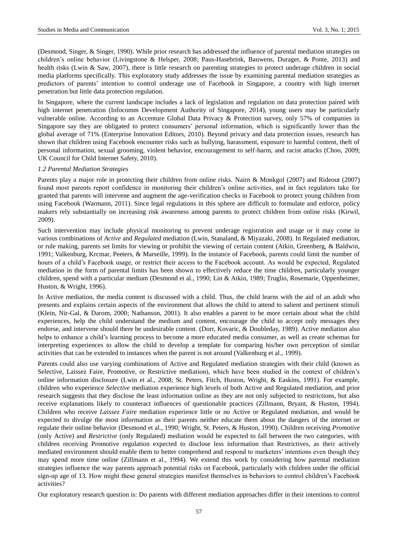(Desmond, Singer, & Singer, 1990). While prior research has addressed the influence of parental mediation strategies on children's online behavior (Livingstone & Helsper, 2008; Paus-Hasebrink, Bauwens, Durager, & Ponte, 2013) and health risks (Lwin & Saw, 2007), there is little research on parenting strategies to protect underage children in social media platforms specifically. This exploratory study addresses the issue by examining parental mediation strategies as predictors of parents' intention to control underage use of Facebook in Singapore, a country with high internet penetration but little data protection regulation.

In Singapore, where the current landscape includes a lack of legislation and regulation on data protection paired with high internet penetration (Infocomm Development Authority of Singapore, 2014), young users may be particularly vulnerable online. According to an Accenture Global Data Privacy & Protection survey, only 57% of companies in Singapore say they are obligated to protect consumers' personal information, which is significantly lower than the global average of 71% (Enterprise Innovation Editors, 2010). Beyond privacy and data protection issues, research has shown that children using Facebook encounter risks such as bullying, harassment, exposure to harmful content, theft of personal information, sexual grooming, violent behavior, encouragement to self-harm, and racist attacks (Choo, 2009; UK Council for Child Internet Safety, 2010).

## *1.2 Parental Mediation Strategies*

Parents play a major role in protecting their children from online risks. Nairn & Monkgol (2007) and Rideout (2007) found most parents report confidence in monitoring their children's online activities, and in fact regulators take for granted that parents will intervene and augment the age-verification checks in Facebook to protect young children from using Facebook (Warmann, 2011). Since legal regulations in this sphere are difficult to formulate and enforce, policy makers rely substantially on increasing risk awareness among parents to protect children from online risks (Kirwil, 2009).

Such intervention may include physical monitoring to prevent underage registration and usage or it may come in various combinations of *Active* and *Regulated* mediation (Lwin, Stanaland, & Miyazaki, 2008). In Regulated mediation, or rule making, parents set limits for viewing or prohibit the viewing of certain content (Atkin, Greenberg, & Baldwin, 1991; Valkenburg, Krcmar, Peeters, & Marseille, 1999). In the instance of Facebook, parents could limit the number of hours of a child's Facebook usage, or restrict their access to the Facebook account. As would be expected, Regulated mediation in the form of parental limits has been shown to effectively reduce the time children, particularly younger children, spend with a particular medium (Desmond et al., 1990; Lin & Atkin, 1989; Truglio, Rosemarie, Oppenheimer, Huston, & Wright, 1996).

In Active mediation, the media content is discussed with a child. Thus, the child learns with the aid of an adult who presents and explains certain aspects of the environment that allows the child to attend to salient and pertinent stimuli (Klein, Nir-Gal, & Darom, 2000; Nathanson, 2001). It also enables a parent to be more certain about what the child experiences, help the child understand the medium and content, encourage the child to accept only messages they endorse, and intervene should there be undesirable content. (Dorr, Kovaric, & Doubleday, 1989). Active mediation also helps to enhance a child's learning process to become a more educated media consumer, as well as create schemas for interpreting experiences to allow the child to develop a template for comparing his/her own perception of similar activities that can be extended to instances when the parent is not around (Valkenburg et al., 1999).

Parents could also use varying combinations of Active and Regulated mediation strategies with their child (known as Selective, Laissez Faire, Promotive, or Restrictive mediation), which have been studied in the context of children's online information disclosure (Lwin et al., 2008; St. Peters, Fitch, Huston, Wright, & Easkins, 1991). For example, children who experience *Selective* mediation experience high levels of both Active and Regulated mediation, and prior research suggests that they disclose the least information online as they are not only subjected to restrictions, but also receive explanations likely to counteract influences of questionable practices (Zillmann, Bryant, & Huston, 1994). Children who receive *Laissez Faire* mediation experience little or no Active or Regulated mediation, and would be expected to divulge the most information as their parents neither educate them about the dangers of the internet or regulate their online behavior (Desmond et al., 1990; Wright, St. Peters, & Huston, 1990). Children receiving *Promotive* (only Active) and *Restrictive* (only Regulated) mediation would be expected to fall between the two categories, with children receiving Promotive regulation expected to disclose less information than Restrictives, as their actively mediated environment should enable them to better comprehend and respond to marketers' intentions even though they may spend more time online (Zillmann et al., 1994). We extend this work by considering how parental mediation strategies influence the way parents approach potential risks on Facebook, particularly with children under the official sign-up age of 13. How might these general strategies manifest themselves in behaviors to control children's Facebook activities?

Our exploratory research question is: Do parents with different mediation approaches differ in their intentions to control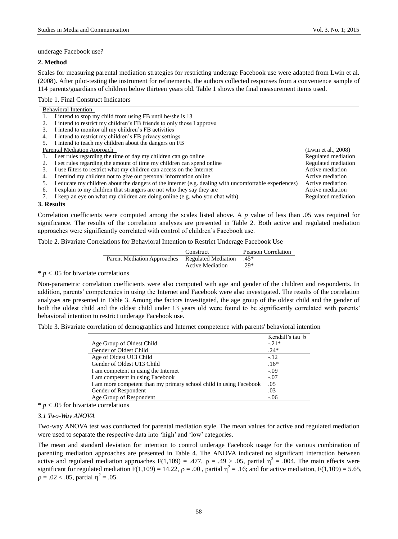underage Facebook use?

## **2. Method**

Scales for measuring parental mediation strategies for restricting underage Facebook use were adapted from Lwin et al. (2008). After pilot-testing the instrument for refinements, the authors collected responses from a convenience sample of 114 parents/guardians of children below thirteen years old. Table 1 shows the final measurement items used.

Table 1. Final Construct Indicators

|                             | <b>Behavioral Intention</b>                                                                           |                     |
|-----------------------------|-------------------------------------------------------------------------------------------------------|---------------------|
|                             | I intend to stop my child from using FB until he/she is 13                                            |                     |
|                             | I intend to restrict my children's FB friends to only those I approve                                 |                     |
| 3.                          | I intend to monitor all my children's FB activities                                                   |                     |
| 4.                          | I intend to restrict my children's FB privacy settings                                                |                     |
|                             | I intend to teach my children about the dangers on FB                                                 |                     |
| Parental Mediation Approach | (Lwin et al., $2008$ )                                                                                |                     |
|                             | I set rules regarding the time of day my children can go online                                       | Regulated mediation |
|                             | I set rules regarding the amount of time my children can spend online                                 | Regulated mediation |
| 3.                          | I use filters to restrict what my children can access on the Internet                                 | Active mediation    |
| 4.                          | I remind my children not to give out personal information online                                      | Active mediation    |
| 5.                          | I educate my children about the dangers of the internet (e.g. dealing with uncomfortable experiences) | Active mediation    |
| 6.                          | I explain to my children that strangers are not who they say they are                                 | Active mediation    |
|                             | I keep an eye on what my children are doing online (e.g. who you chat with)                           | Regulated mediation |

## **3. Results**

Correlation coefficients were computed among the scales listed above. A *p* value of less than .05 was required for significance. The results of the correlation analyses are presented in Table 2. Both active and regulated mediation approaches were significantly correlated with control of children's Facebook use.

| Table 2. Bivariate Correlations for Behavioral Intention to Restrict Underage Facebook Use |  |  |  |  |  |  |  |
|--------------------------------------------------------------------------------------------|--|--|--|--|--|--|--|
|--------------------------------------------------------------------------------------------|--|--|--|--|--|--|--|

|                                    | Construct               | Pearson Correlation |
|------------------------------------|-------------------------|---------------------|
| <b>Parent Mediation Approaches</b> | Regulated Mediation     | $45*$               |
|                                    | <b>Active Mediation</b> | $.29*$              |

# $* p < .05$  for bivariate correlations

Non-parametric correlation coefficients were also computed with age and gender of the children and respondents. In addition, parents' competencies in using the Internet and Facebook were also investigated. The results of the correlation analyses are presented in Table 3. Among the factors investigated, the age group of the oldest child and the gender of both the oldest child and the oldest child under 13 years old were found to be significantly correlated with parents' behavioral intention to restrict underage Facebook use.

Table 3. Bivariate correlation of demographics and Internet competence with parents' behavioral intention

|                                                                    | Kendall's tau b |
|--------------------------------------------------------------------|-----------------|
| Age Group of Oldest Child                                          | $-.21*$         |
| Gender of Oldest Child                                             | $.24*$          |
| Age of Oldest U13 Child                                            | $-12$           |
| Gender of Oldest U13 Child                                         | $.16*$          |
| I am competent in using the Internet                               | $-.09$          |
| I am competent in using Facebook                                   | $-.07$          |
| I am more competent than my primary school child in using Facebook | .05             |
| Gender of Respondent                                               | .03             |
| Age Group of Respondent                                            | $-.06$          |

### $* p < .05$  for bivariate correlations

#### *3.1 Two-Way ANOVA*

Two-way ANOVA test was conducted for parental mediation style. The mean values for active and regulated mediation were used to separate the respective data into 'high' and 'low' categories.

The mean and standard deviation for intention to control underage Facebook usage for the various combination of parenting mediation approaches are presented in Table 4. The ANOVA indicated no significant interaction between active and regulated mediation approaches  $F(1,109) = .477$ ,  $\rho = .49 > .05$ , partial  $\eta^2 = .004$ . The main effects were significant for regulated mediation  $F(1,109) = 14.22$ ,  $\rho = .00$ , partial  $\eta^2 = .16$ ; and for active mediation,  $F(1,109) = 5.65$ ,  $p = .02 < .05$ , partial  $\eta^2 = .05$ .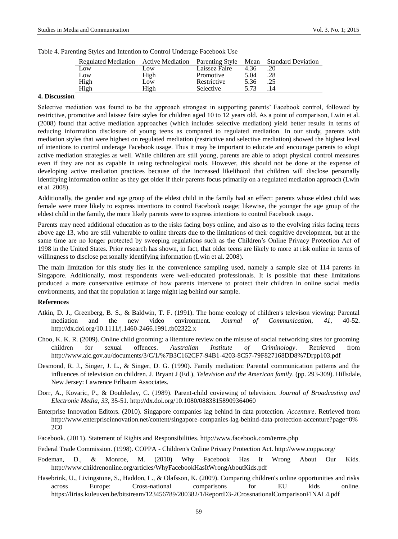| Regulated Mediation | <b>Active Mediation</b> | Parenting Style Mean |      | <b>Standard Deviation</b> |
|---------------------|-------------------------|----------------------|------|---------------------------|
| Low                 | Low                     | Laissez Faire        | 4.36 |                           |
| Low                 | High                    | Promotive            | 5.04 | .28                       |
| High                | Low.                    | Restrictive          | 5.36 |                           |
| High                | High                    | Selective            | 5.73 | 14                        |

|  | Table 4. Parenting Styles and Intention to Control Underage Facebook Use |  |  |
|--|--------------------------------------------------------------------------|--|--|
|  |                                                                          |  |  |

# **4. Discussion**

Selective mediation was found to be the approach strongest in supporting parents' Facebook control, followed by restrictive, promotive and laissez faire styles for children aged 10 to 12 years old. As a point of comparison, Lwin et al. (2008) found that active mediation approaches (which includes selective mediation) yield better results in terms of reducing information disclosure of young teens as compared to regulated mediation. In our study, parents with mediation styles that were highest on regulated mediation (restrictive and selective mediation) showed the highest level of intentions to control underage Facebook usage. Thus it may be important to educate and encourage parents to adopt active mediation strategies as well. While children are still young, parents are able to adopt physical control measures even if they are not as capable in using technological tools. However, this should not be done at the expense of developing active mediation practices because of the increased likelihood that children will disclose personally identifying information online as they get older if their parents focus primarily on a regulated mediation approach (Lwin et al. 2008).

Additionally, the gender and age group of the eldest child in the family had an effect: parents whose eldest child was female were more likely to express intentions to control Facebook usage; likewise, the younger the age group of the eldest child in the family, the more likely parents were to express intentions to control Facebook usage.

Parents may need additional education as to the risks facing boys online, and also as to the evolving risks facing teens above age 13, who are still vulnerable to online threats due to the limitations of their cognitive development, but at the same time are no longer protected by sweeping regulations such as the Children's Online Privacy Protection Act of 1998 in the United States. Prior research has shown, in fact, that older teens are likely to more at risk online in terms of willingness to disclose personally identifying information (Lwin et al. 2008).

The main limitation for this study lies in the convenience sampling used, namely a sample size of 114 parents in Singapore. Additionally, most respondents were well-educated professionals. It is possible that these limitations produced a more conservative estimate of how parents intervene to protect their children in online social media environments, and that the population at large might lag behind our sample.

#### **References**

- Atkin, D. J., Greenberg, B. S., & Baldwin, T. F. (1991). The home ecology of children's televison viewing: Parental mediation and the new video environment. *Journal of Communication*, *41*, 40-52. http://dx.doi.org/10.1111/j.1460-2466.1991.tb02322.x
- Choo, K. K. R. (2009). Online child grooming: a literature review on the misuse of social networking sites for grooming children for sexual offences. *Australian Institute of Criminology*. Retrieved from http://www.aic.gov.au/documents/3/C/1/%7B3C162CF7-94B1-4203-8C57-79F827168DD8%7Drpp103.pdf
- Desmond, R. J., Singer, J. L., & Singer, D. G. (1990). Family mediation: Parental communication patterns and the influences of television on children. J. Bryant J (Ed.), *Television and the American family*. (pp. 293-309). Hillsdale, New Jersey: Lawrence Erlbaum Associates.
- Dorr, A., Kovaric, P., & Doubleday, C. (1989). Parent-child coviewing of television. *Journal of Broadcasting and Electronic Media*, *33*, 35-51. http://dx.doi.org/10.1080/08838158909364060
- Enterprise Innovation Editors. (2010). Singapore companies lag behind in data protection. *Accenture*. Retrieved from http://www.enterpriseinnovation.net/content/singapore-companies-lag-behind-data-protection-accenture?page=0% 2C0
- Facebook. (2011). Statement of Rights and Responsibilities. http://www.facebook.com/terms.php

Federal Trade Commission. (1998). COPPA - Children's Online Privacy Protection Act. http://www.coppa.org/

- Fodeman, D., & Monroe, M. (2010) Why Facebook Has It Wrong About Our Kids. http://www.childrenonline.org/articles/WhyFacebookHasItWrongAboutKids.pdf
- Hasebrink, U., Livingstone, S., Haddon, L., & Olafsson, K. (2009). Comparing children's online opportunities and risks across Europe: Cross-national comparisons for EU kids online. https://lirias.kuleuven.be/bitstream/123456789/200382/1/ReportD3-2CrossnationalComparisonFINAL4.pdf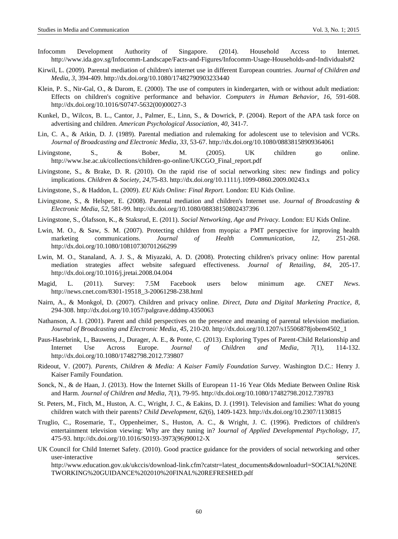- Infocomm Development Authority of Singapore. (2014). Household Access to Internet. http://www.ida.gov.sg/Infocomm-Landscape/Facts-and-Figures/Infocomm-Usage-Households-and-Individuals#2
- Kirwil, L. (2009). Parental mediation of children's internet use in different European countries. *Journal of Children and Media*, *3*, 394-409. http://dx.doi.org/10.1080/17482790903233440
- Klein, P. S., Nir-Gal, O., & Darom, E. (2000). The use of computers in kindergarten, with or without adult mediation: Effects on children's cognitive performance and behavior. *Computers in Human Behavior*, *16*, 591-608. http://dx.doi.org/10.1016/S0747-5632(00)00027-3
- Kunkel, D., Wilcox, B. L., Cantor, J., Palmer, E., Linn, S., & Dowrick, P. (2004). Report of the APA task force on advertising and children. *American Psychological Association*, *40*, 341-7.
- Lin, C. A., & Atkin, D. J. (1989). Parental mediation and rulemaking for adolescent use to television and VCRs. *Journal of Broadcasting and Electronic Media*, *33*, 53-67. http://dx.doi.org/10.1080/08838158909364061
- Livingstone, S., & Bober, M. (2005). UK children go online. http://www.lse.ac.uk/collections/children-go-online/UKCGO\_Final\_report.pdf
- Livingstone, S., & Brake, D. R. (2010). On the rapid rise of social networking sites: new findings and policy implications. *Children & Society*, *24*,75-83. http://dx.doi.org/10.1111/j.1099-0860.2009.00243.x
- Livingstone, S., & Haddon, L. (2009). *EU Kids Online: Final Report.* London: EU Kids Online.
- Livingstone, S., & Helsper, E. (2008). Parental mediation and children's Internet use. *Journal of Broadcasting & Electronic Media*, *52*, 581-99. http://dx.doi.org/10.1080/08838150802437396
- Livingstone, S., Ólafsson, K., & Staksrud, E. (2011). *Social Networking, Age and Privacy.* London: EU Kids Online.
- Lwin, M. O., & Saw, S. M. (2007). Protecting children from myopia: a PMT perspective for improving health marketing communications. *Journal of Health Communication*, *12*, 251-268. http://dx.doi.org/10.1080/10810730701266299
- Lwin, M. O., Stanaland, A. J. S., & Miyazaki, A. D. (2008). Protecting children's privacy online: How parental mediation strategies affect website safeguard effectiveness. *Journal of Retailing*, *84*, 205-17. http://dx.doi.org/10.1016/j.jretai.2008.04.004
- Magid, L. (2011). Survey: 7.5M Facebook users below minimum age. *CNET News*. http://news.cnet.com/8301-19518\_3-20061298-238.html
- Nairn, A., & Monkgol, D. (2007). Children and privacy online. *Direct, Data and Digital Marketing Practice*, *8*, 294-308. http://dx.doi.org/10.1057/palgrave.dddmp.4350063
- Nathanson, A. I. (2001). Parent and child perspectives on the presence and meaning of parental television mediation. *Journal of Broadcasting and Electronic Media*, *45*, 210-20. http://dx.doi.org/10.1207/s15506878jobem4502\_1
- Paus-Hasebrink, I., Bauwens, J., Durager, A. E., & Ponte, C. (2013). Exploring Types of Parent-Child Relationship and Internet Use Across Europe. *Journal of Children and Media*, *7*(1), 114-132. http://dx.doi.org/10.1080/17482798.2012.739807
- Rideout, V. (2007). *Parents, Children & Media: A Kaiser Family Foundation Survey*. Washington D.C.: Henry J. Kaiser Family Foundation.
- Sonck, N., & de Haan, J. (2013). How the Internet Skills of European 11-16 Year Olds Mediate Between Online Risk and Harm. *Journal of Children and Media*, *7*(1), 79-95. http://dx.doi.org/10.1080/17482798.2012.739783
- St. Peters, M., Fitch, M., Huston, A. C., Wright, J. C., & Eakins, D. J. (1991). Television and families: What do young children watch with their parents? *Child Development*, *62*(6), 1409-1423. http://dx.doi.org/10.2307/1130815
- Truglio, C., Rosemarie, T., Oppenheimer, S., Huston, A. C., & Wright, J. C. (1996). Predictors of children's entertainment television viewing: Why are they tuning in? J*ournal of Applied Developmental Psychology, 17*, 475-93. http://dx.doi.org/10.1016/S0193-3973(96)90012-X
- UK Council for Child Internet Safety. (2010). Good practice guidance for the providers of social networking and other user-interactive services. http://www.education.gov.uk/ukccis/download-link.cfm?catstr=latest\_documents&downloadurl=SOCIAL%20NE TWORKING%20GUIDANCE%202010%20FINAL%20REFRESHED.pdf